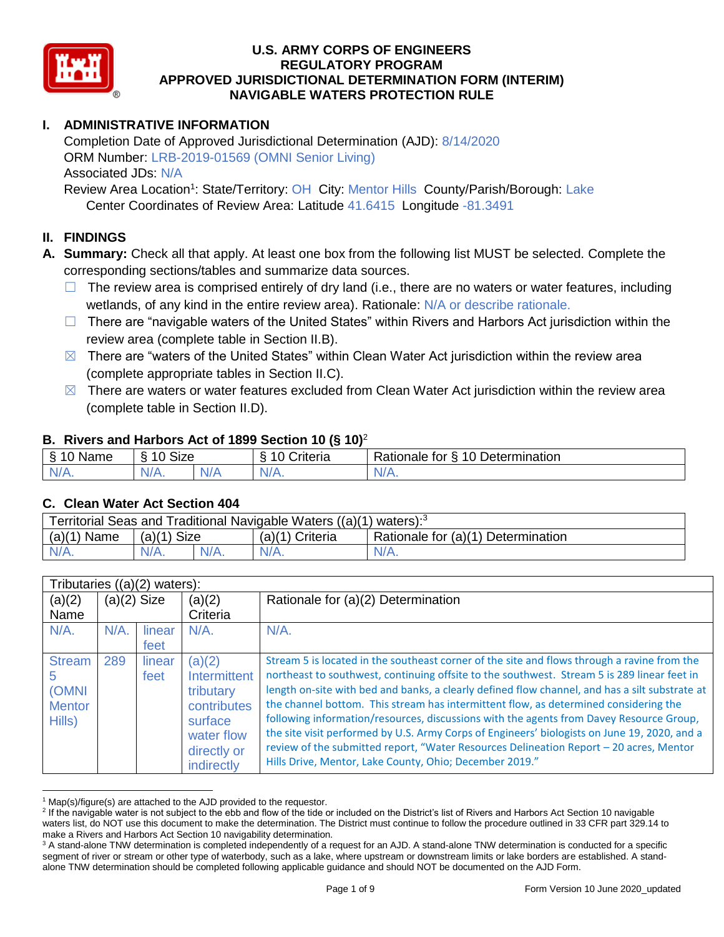

# **I. ADMINISTRATIVE INFORMATION**

Completion Date of Approved Jurisdictional Determination (AJD): 8/14/2020 ORM Number: LRB-2019-01569 (OMNI Senior Living) Associated JDs: N/A Review Area Location<sup>1</sup>: State/Territory: OH City: Mentor Hills County/Parish/Borough: Lake

Center Coordinates of Review Area: Latitude 41.6415 Longitude -81.3491

# **II. FINDINGS**

**A. Summary:** Check all that apply. At least one box from the following list MUST be selected. Complete the corresponding sections/tables and summarize data sources.

- $\Box$  The review area is comprised entirely of dry land (i.e., there are no waters or water features, including wetlands, of any kind in the entire review area). Rationale: N/A or describe rationale.
- $\Box$  There are "navigable waters of the United States" within Rivers and Harbors Act jurisdiction within the review area (complete table in Section II.B).
- $\boxtimes$  There are "waters of the United States" within Clean Water Act jurisdiction within the review area (complete appropriate tables in Section II.C).
- $\boxtimes$  There are waters or water features excluded from Clean Water Act jurisdiction within the review area (complete table in Section II.D).

#### **B. Rivers and Harbors Act of 1899 Section 10 (§ 10)**<sup>2</sup>

|                               | $\cdot$                        |     |                   |                                                                       |  |  |  |  |
|-------------------------------|--------------------------------|-----|-------------------|-----------------------------------------------------------------------|--|--|--|--|
| 8 <sup>1</sup><br>Name<br>- 1 | $\Lambda \cap \Lambda$<br>SIZE |     | ;ntena            | 10<br>Determination<br>$\overline{\phantom{a}}$<br>tor ধ<br>≺atıonale |  |  |  |  |
| $N/A$ .                       | $N/A$ .                        | N/F | N/L<br><b>MII</b> | V/ m.                                                                 |  |  |  |  |

#### **C. Clean Water Act Section 404**

| Territorial Seas and Traditional Navigable Waters ((a)(1) waters): $3$ |               |         |                   |                                    |  |  |
|------------------------------------------------------------------------|---------------|---------|-------------------|------------------------------------|--|--|
| $(a)(1)$ Name                                                          | $(a)(1)$ Size |         | $(a)(1)$ Criteria | Rationale for (a)(1) Determination |  |  |
|                                                                        |               | $N/A$ . | $N/A$ .           | $N/A$ .                            |  |  |

|                        | Tributaries $((a)(2)$ waters): |                |                                      |                                                                                                                                                                                                                                                                                   |  |  |
|------------------------|--------------------------------|----------------|--------------------------------------|-----------------------------------------------------------------------------------------------------------------------------------------------------------------------------------------------------------------------------------------------------------------------------------|--|--|
| (a)(2)                 | $(a)(2)$ Size                  |                | (a)(2)                               | Rationale for (a)(2) Determination                                                                                                                                                                                                                                                |  |  |
| Name                   |                                |                | Criteria                             |                                                                                                                                                                                                                                                                                   |  |  |
| $N/A$ .                | $N/A$ .                        | linear         | $N/A$ .                              | $N/A$ .                                                                                                                                                                                                                                                                           |  |  |
|                        |                                | feet           |                                      |                                                                                                                                                                                                                                                                                   |  |  |
| <b>Stream</b><br>b     | 289                            | linear<br>feet | (a)(2)<br>Intermittent               | Stream 5 is located in the southeast corner of the site and flows through a ravine from the<br>northeast to southwest, continuing offsite to the southwest. Stream 5 is 289 linear feet in                                                                                        |  |  |
| (OMNI<br><b>Mentor</b> |                                |                | tributary<br>contributes             | length on-site with bed and banks, a clearly defined flow channel, and has a silt substrate at<br>the channel bottom. This stream has intermittent flow, as determined considering the<br>following information/resources, discussions with the agents from Davey Resource Group, |  |  |
| Hills)                 |                                |                | surface<br>water flow<br>directly or | the site visit performed by U.S. Army Corps of Engineers' biologists on June 19, 2020, and a<br>review of the submitted report, "Water Resources Delineation Report - 20 acres, Mentor                                                                                            |  |  |
|                        |                                |                | indirectly                           | Hills Drive, Mentor, Lake County, Ohio; December 2019."                                                                                                                                                                                                                           |  |  |

  $1$  Map(s)/figure(s) are attached to the AJD provided to the requestor.

<sup>&</sup>lt;sup>2</sup> If the navigable water is not subject to the ebb and flow of the tide or included on the District's list of Rivers and Harbors Act Section 10 navigable waters list, do NOT use this document to make the determination. The District must continue to follow the procedure outlined in 33 CFR part 329.14 to make a Rivers and Harbors Act Section 10 navigability determination.

<sup>&</sup>lt;sup>3</sup> A stand-alone TNW determination is completed independently of a request for an AJD. A stand-alone TNW determination is conducted for a specific segment of river or stream or other type of waterbody, such as a lake, where upstream or downstream limits or lake borders are established. A standalone TNW determination should be completed following applicable guidance and should NOT be documented on the AJD Form.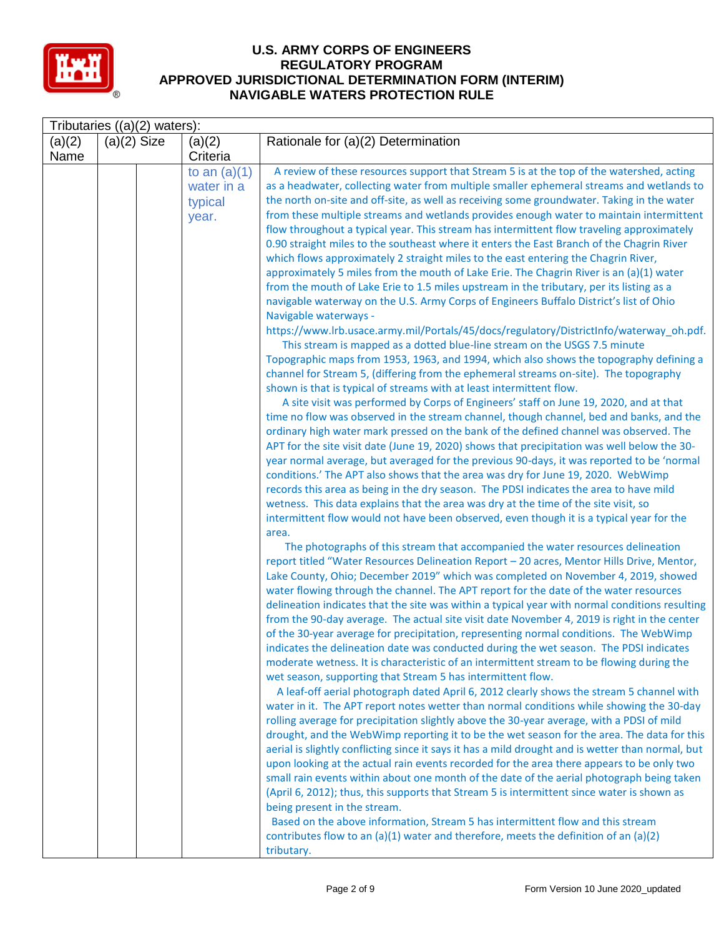

|                | Tributaries $((a)(2)$ waters): |                                                  |                                                                                                                                                                                                                                                                                                                                                                                                                                                                                                                                                                                                                                                                                                                                                                                                                                                                                                                                                                                                                                                                                                                                                                                                                                                                                                                                                                                                                                                                                                                                                                                                                                                                                                                                                                                                                                                                                                                                                                                                                                                                                                                                                                                                                                                              |  |  |  |  |  |
|----------------|--------------------------------|--------------------------------------------------|--------------------------------------------------------------------------------------------------------------------------------------------------------------------------------------------------------------------------------------------------------------------------------------------------------------------------------------------------------------------------------------------------------------------------------------------------------------------------------------------------------------------------------------------------------------------------------------------------------------------------------------------------------------------------------------------------------------------------------------------------------------------------------------------------------------------------------------------------------------------------------------------------------------------------------------------------------------------------------------------------------------------------------------------------------------------------------------------------------------------------------------------------------------------------------------------------------------------------------------------------------------------------------------------------------------------------------------------------------------------------------------------------------------------------------------------------------------------------------------------------------------------------------------------------------------------------------------------------------------------------------------------------------------------------------------------------------------------------------------------------------------------------------------------------------------------------------------------------------------------------------------------------------------------------------------------------------------------------------------------------------------------------------------------------------------------------------------------------------------------------------------------------------------------------------------------------------------------------------------------------------------|--|--|--|--|--|
| (a)(2)<br>Name | $(a)(2)$ Size                  | (a)(2)<br>Criteria                               | Rationale for (a)(2) Determination                                                                                                                                                                                                                                                                                                                                                                                                                                                                                                                                                                                                                                                                                                                                                                                                                                                                                                                                                                                                                                                                                                                                                                                                                                                                                                                                                                                                                                                                                                                                                                                                                                                                                                                                                                                                                                                                                                                                                                                                                                                                                                                                                                                                                           |  |  |  |  |  |
|                |                                | to an $(a)(1)$<br>water in a<br>typical<br>year. | A review of these resources support that Stream 5 is at the top of the watershed, acting<br>as a headwater, collecting water from multiple smaller ephemeral streams and wetlands to<br>the north on-site and off-site, as well as receiving some groundwater. Taking in the water<br>from these multiple streams and wetlands provides enough water to maintain intermittent<br>flow throughout a typical year. This stream has intermittent flow traveling approximately<br>0.90 straight miles to the southeast where it enters the East Branch of the Chagrin River<br>which flows approximately 2 straight miles to the east entering the Chagrin River,<br>approximately 5 miles from the mouth of Lake Erie. The Chagrin River is an (a)(1) water<br>from the mouth of Lake Erie to 1.5 miles upstream in the tributary, per its listing as a<br>navigable waterway on the U.S. Army Corps of Engineers Buffalo District's list of Ohio<br>Navigable waterways -<br>https://www.lrb.usace.army.mil/Portals/45/docs/regulatory/DistrictInfo/waterway_oh.pdf.<br>This stream is mapped as a dotted blue-line stream on the USGS 7.5 minute<br>Topographic maps from 1953, 1963, and 1994, which also shows the topography defining a<br>channel for Stream 5, (differing from the ephemeral streams on-site). The topography<br>shown is that is typical of streams with at least intermittent flow.<br>A site visit was performed by Corps of Engineers' staff on June 19, 2020, and at that<br>time no flow was observed in the stream channel, though channel, bed and banks, and the<br>ordinary high water mark pressed on the bank of the defined channel was observed. The<br>APT for the site visit date (June 19, 2020) shows that precipitation was well below the 30-<br>year normal average, but averaged for the previous 90-days, it was reported to be 'normal<br>conditions.' The APT also shows that the area was dry for June 19, 2020. WebWimp<br>records this area as being in the dry season. The PDSI indicates the area to have mild<br>wetness. This data explains that the area was dry at the time of the site visit, so<br>intermittent flow would not have been observed, even though it is a typical year for the<br>area. |  |  |  |  |  |
|                |                                |                                                  | The photographs of this stream that accompanied the water resources delineation<br>report titled "Water Resources Delineation Report - 20 acres, Mentor Hills Drive, Mentor,<br>Lake County, Ohio; December 2019" which was completed on November 4, 2019, showed<br>water flowing through the channel. The APT report for the date of the water resources<br>delineation indicates that the site was within a typical year with normal conditions resulting<br>from the 90-day average. The actual site visit date November 4, 2019 is right in the center<br>of the 30-year average for precipitation, representing normal conditions. The WebWimp<br>indicates the delineation date was conducted during the wet season. The PDSI indicates<br>moderate wetness. It is characteristic of an intermittent stream to be flowing during the<br>wet season, supporting that Stream 5 has intermittent flow.<br>A leaf-off aerial photograph dated April 6, 2012 clearly shows the stream 5 channel with<br>water in it. The APT report notes wetter than normal conditions while showing the 30-day<br>rolling average for precipitation slightly above the 30-year average, with a PDSI of mild<br>drought, and the WebWimp reporting it to be the wet season for the area. The data for this<br>aerial is slightly conflicting since it says it has a mild drought and is wetter than normal, but<br>upon looking at the actual rain events recorded for the area there appears to be only two<br>small rain events within about one month of the date of the aerial photograph being taken<br>(April 6, 2012); thus, this supports that Stream 5 is intermittent since water is shown as<br>being present in the stream.<br>Based on the above information, Stream 5 has intermittent flow and this stream<br>contributes flow to an (a)(1) water and therefore, meets the definition of an (a)(2)<br>tributary.                                                                                                                                                                                                                                                                                                                                           |  |  |  |  |  |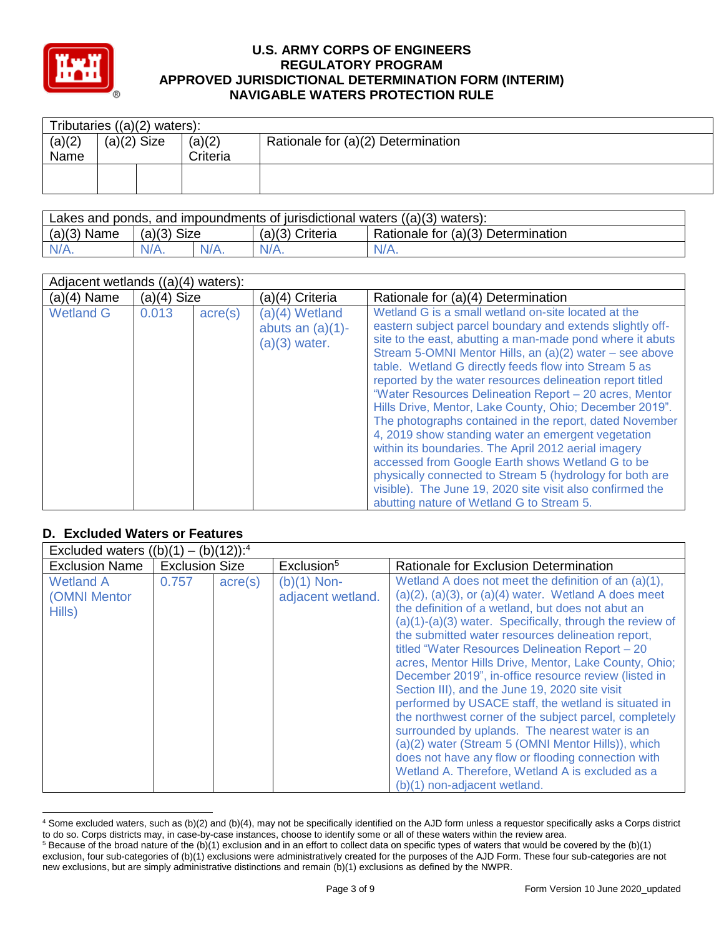

| Tributaries $((a)(2)$ waters): |               |  |        |                                    |  |  |
|--------------------------------|---------------|--|--------|------------------------------------|--|--|
| (a)(2)                         | $(a)(2)$ Size |  | (a)(2) | Rationale for (a)(2) Determination |  |  |
| Name                           | Criteria      |  |        |                                    |  |  |
|                                |               |  |        |                                    |  |  |
|                                |               |  |        |                                    |  |  |

| Lakes and ponds, and impoundments of jurisdictional waters $((a)(3)$ waters): |               |         |                   |                                    |  |  |  |
|-------------------------------------------------------------------------------|---------------|---------|-------------------|------------------------------------|--|--|--|
| $(a)(3)$ Name                                                                 | $(a)(3)$ Size |         | $(a)(3)$ Criteria | Rationale for (a)(3) Determination |  |  |  |
| $N/A$ .                                                                       | $N/A$ .       | $N/A$ . | $N/A$ .           | $N/A$ .                            |  |  |  |

| Adjacent wetlands $((a)(4)$ waters): |               |                  |                                                          |                                                                                                                                                                                                                                                                                                                                                                                                                                                                                                                                                                                                                                                                                                                                                                                                                                                                                        |  |  |
|--------------------------------------|---------------|------------------|----------------------------------------------------------|----------------------------------------------------------------------------------------------------------------------------------------------------------------------------------------------------------------------------------------------------------------------------------------------------------------------------------------------------------------------------------------------------------------------------------------------------------------------------------------------------------------------------------------------------------------------------------------------------------------------------------------------------------------------------------------------------------------------------------------------------------------------------------------------------------------------------------------------------------------------------------------|--|--|
| $(a)(4)$ Name                        | $(a)(4)$ Size |                  | (a)(4) Criteria                                          | Rationale for (a)(4) Determination                                                                                                                                                                                                                                                                                                                                                                                                                                                                                                                                                                                                                                                                                                                                                                                                                                                     |  |  |
| <b>Wetland G</b>                     | 0.013         | $\text{acre}(s)$ | (a)(4) Wetland<br>abuts an $(a)(1)$ -<br>$(a)(3)$ water. | Wetland G is a small wetland on-site located at the<br>eastern subject parcel boundary and extends slightly off-<br>site to the east, abutting a man-made pond where it abuts<br>Stream 5-OMNI Mentor Hills, an (a)(2) water – see above<br>table. Wetland G directly feeds flow into Stream 5 as<br>reported by the water resources delineation report titled<br>"Water Resources Delineation Report - 20 acres, Mentor<br>Hills Drive, Mentor, Lake County, Ohio; December 2019".<br>The photographs contained in the report, dated November<br>4, 2019 show standing water an emergent vegetation<br>within its boundaries. The April 2012 aerial imagery<br>accessed from Google Earth shows Wetland G to be<br>physically connected to Stream 5 (hydrology for both are<br>visible). The June 19, 2020 site visit also confirmed the<br>abutting nature of Wetland G to Stream 5. |  |  |

# **D. Excluded Waters or Features**

| Excluded waters $((b)(1) - (b)(12))$ : <sup>4</sup> |                       |         |                                    |                                                                                                                                                                                                                                                                                                                                                                                                                                                                                                                                                                                                                                                                                                                                                                                                                                                                                        |  |  |  |
|-----------------------------------------------------|-----------------------|---------|------------------------------------|----------------------------------------------------------------------------------------------------------------------------------------------------------------------------------------------------------------------------------------------------------------------------------------------------------------------------------------------------------------------------------------------------------------------------------------------------------------------------------------------------------------------------------------------------------------------------------------------------------------------------------------------------------------------------------------------------------------------------------------------------------------------------------------------------------------------------------------------------------------------------------------|--|--|--|
| <b>Exclusion Name</b>                               | <b>Exclusion Size</b> |         | Exclusion <sup>5</sup>             | Rationale for Exclusion Determination                                                                                                                                                                                                                                                                                                                                                                                                                                                                                                                                                                                                                                                                                                                                                                                                                                                  |  |  |  |
| <b>Wetland A</b><br>(OMNI Mentor<br>Hills)          | 0.757                 | acre(s) | $(b)(1)$ Non-<br>adjacent wetland. | Wetland A does not meet the definition of an (a)(1),<br>$(a)(2)$ , $(a)(3)$ , or $(a)(4)$ water. Wetland A does meet<br>the definition of a wetland, but does not abut an<br>$(a)(1)-(a)(3)$ water. Specifically, through the review of<br>the submitted water resources delineation report,<br>titled "Water Resources Delineation Report - 20<br>acres, Mentor Hills Drive, Mentor, Lake County, Ohio;<br>December 2019", in-office resource review (listed in<br>Section III), and the June 19, 2020 site visit<br>performed by USACE staff, the wetland is situated in<br>the northwest corner of the subject parcel, completely<br>surrounded by uplands. The nearest water is an<br>(a)(2) water (Stream 5 (OMNI Mentor Hills)), which<br>does not have any flow or flooding connection with<br>Wetland A. Therefore, Wetland A is excluded as a<br>(b)(1) non-adjacent wetland. |  |  |  |

 <sup>4</sup> Some excluded waters, such as (b)(2) and (b)(4), may not be specifically identified on the AJD form unless a requestor specifically asks a Corps district to do so. Corps districts may, in case-by-case instances, choose to identify some or all of these waters within the review area.  $5$  Because of the broad nature of the (b)(1) exclusion and in an effort to collect data on specific types of waters that would be covered by the (b)(1)

exclusion, four sub-categories of (b)(1) exclusions were administratively created for the purposes of the AJD Form. These four sub-categories are not new exclusions, but are simply administrative distinctions and remain (b)(1) exclusions as defined by the NWPR.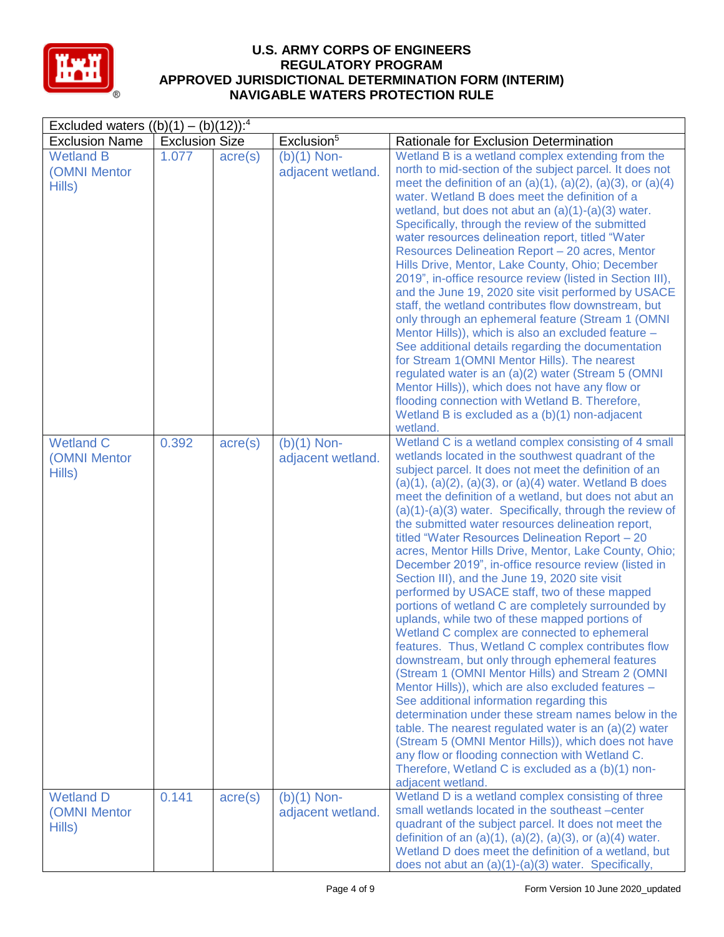

| Excluded waters $((b)(1) - (b)(12))$ : <sup>4</sup> |                       |                  |                                    |                                                                                                                                                                                                                                                                                                                                                                                                                                                                                                                                                                                                                                                                                                                                                                                                                                                                                                                                                                                                                                                                                                                                                                                                                                                                                                                                                                                                                     |  |  |
|-----------------------------------------------------|-----------------------|------------------|------------------------------------|---------------------------------------------------------------------------------------------------------------------------------------------------------------------------------------------------------------------------------------------------------------------------------------------------------------------------------------------------------------------------------------------------------------------------------------------------------------------------------------------------------------------------------------------------------------------------------------------------------------------------------------------------------------------------------------------------------------------------------------------------------------------------------------------------------------------------------------------------------------------------------------------------------------------------------------------------------------------------------------------------------------------------------------------------------------------------------------------------------------------------------------------------------------------------------------------------------------------------------------------------------------------------------------------------------------------------------------------------------------------------------------------------------------------|--|--|
| <b>Exclusion Name</b>                               | <b>Exclusion Size</b> |                  | Exclusion <sup>5</sup>             | Rationale for Exclusion Determination                                                                                                                                                                                                                                                                                                                                                                                                                                                                                                                                                                                                                                                                                                                                                                                                                                                                                                                                                                                                                                                                                                                                                                                                                                                                                                                                                                               |  |  |
| <b>Wetland B</b><br>(OMNI Mentor<br>Hills)          | 1.077                 | $\text{acre}(s)$ | $(b)(1)$ Non-<br>adjacent wetland. | Wetland B is a wetland complex extending from the<br>north to mid-section of the subject parcel. It does not<br>meet the definition of an $(a)(1)$ , $(a)(2)$ , $(a)(3)$ , or $(a)(4)$<br>water. Wetland B does meet the definition of a<br>wetland, but does not abut an $(a)(1)-(a)(3)$ water.<br>Specifically, through the review of the submitted<br>water resources delineation report, titled "Water<br>Resources Delineation Report - 20 acres, Mentor<br>Hills Drive, Mentor, Lake County, Ohio; December<br>2019", in-office resource review (listed in Section III),<br>and the June 19, 2020 site visit performed by USACE<br>staff, the wetland contributes flow downstream, but<br>only through an ephemeral feature (Stream 1 (OMNI<br>Mentor Hills)), which is also an excluded feature -<br>See additional details regarding the documentation<br>for Stream 1 (OMNI Mentor Hills). The nearest<br>regulated water is an (a)(2) water (Stream 5 (OMNI<br>Mentor Hills)), which does not have any flow or<br>flooding connection with Wetland B. Therefore,<br>Wetland B is excluded as a (b)(1) non-adjacent<br>wetland.                                                                                                                                                                                                                                                                            |  |  |
| <b>Wetland C</b><br>(OMNI Mentor<br>Hills)          | 0.392                 | $\text{acre}(s)$ | $(b)(1)$ Non-<br>adjacent wetland. | Wetland C is a wetland complex consisting of 4 small<br>wetlands located in the southwest quadrant of the<br>subject parcel. It does not meet the definition of an<br>$(a)(1), (a)(2), (a)(3),$ or $(a)(4)$ water. Wetland B does<br>meet the definition of a wetland, but does not abut an<br>$(a)(1)-(a)(3)$ water. Specifically, through the review of<br>the submitted water resources delineation report,<br>titled "Water Resources Delineation Report - 20<br>acres, Mentor Hills Drive, Mentor, Lake County, Ohio;<br>December 2019", in-office resource review (listed in<br>Section III), and the June 19, 2020 site visit<br>performed by USACE staff, two of these mapped<br>portions of wetland C are completely surrounded by<br>uplands, while two of these mapped portions of<br>Wetland C complex are connected to ephemeral<br>features. Thus, Wetland C complex contributes flow<br>downstream, but only through ephemeral features<br>(Stream 1 (OMNI Mentor Hills) and Stream 2 (OMNI<br>Mentor Hills)), which are also excluded features -<br>See additional information regarding this<br>determination under these stream names below in the<br>table. The nearest regulated water is an $(a)(2)$ water<br>(Stream 5 (OMNI Mentor Hills)), which does not have<br>any flow or flooding connection with Wetland C.<br>Therefore, Wetland C is excluded as a (b)(1) non-<br>adjacent wetland. |  |  |
| <b>Wetland D</b><br>(OMNI Mentor<br>Hills)          | 0.141                 | $\text{acre}(s)$ | $(b)(1)$ Non-<br>adjacent wetland. | Wetland D is a wetland complex consisting of three<br>small wetlands located in the southeast -center<br>quadrant of the subject parcel. It does not meet the<br>definition of an $(a)(1)$ , $(a)(2)$ , $(a)(3)$ , or $(a)(4)$ water.<br>Wetland D does meet the definition of a wetland, but<br>does not abut an $(a)(1)-(a)(3)$ water. Specifically,                                                                                                                                                                                                                                                                                                                                                                                                                                                                                                                                                                                                                                                                                                                                                                                                                                                                                                                                                                                                                                                              |  |  |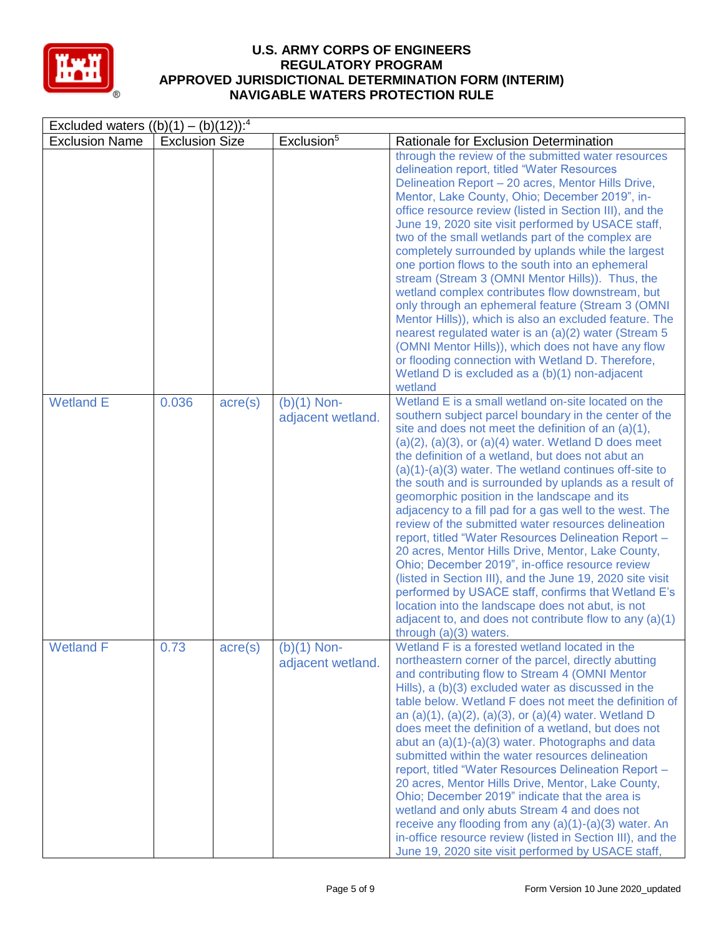

| Excluded waters $((b)(1) - (b)(12))^{-4}$ |                       |                  |                                    |                                                                                                                                                                                                                                                                                                                                                                                                                                                                                                                                                                                                                                                                                                                                                                                                                                                                                                                                                                                                                  |  |  |
|-------------------------------------------|-----------------------|------------------|------------------------------------|------------------------------------------------------------------------------------------------------------------------------------------------------------------------------------------------------------------------------------------------------------------------------------------------------------------------------------------------------------------------------------------------------------------------------------------------------------------------------------------------------------------------------------------------------------------------------------------------------------------------------------------------------------------------------------------------------------------------------------------------------------------------------------------------------------------------------------------------------------------------------------------------------------------------------------------------------------------------------------------------------------------|--|--|
| <b>Exclusion Name</b>                     | <b>Exclusion Size</b> |                  | Exclusion <sup>5</sup>             | Rationale for Exclusion Determination                                                                                                                                                                                                                                                                                                                                                                                                                                                                                                                                                                                                                                                                                                                                                                                                                                                                                                                                                                            |  |  |
|                                           |                       |                  |                                    | through the review of the submitted water resources<br>delineation report, titled "Water Resources<br>Delineation Report - 20 acres, Mentor Hills Drive,<br>Mentor, Lake County, Ohio; December 2019", in-<br>office resource review (listed in Section III), and the<br>June 19, 2020 site visit performed by USACE staff,<br>two of the small wetlands part of the complex are<br>completely surrounded by uplands while the largest<br>one portion flows to the south into an ephemeral<br>stream (Stream 3 (OMNI Mentor Hills)). Thus, the<br>wetland complex contributes flow downstream, but<br>only through an ephemeral feature (Stream 3 (OMNI<br>Mentor Hills)), which is also an excluded feature. The<br>nearest regulated water is an (a)(2) water (Stream 5<br>(OMNI Mentor Hills)), which does not have any flow<br>or flooding connection with Wetland D. Therefore,<br>Wetland D is excluded as a (b)(1) non-adjacent<br>wetland                                                                |  |  |
| <b>Wetland E</b>                          | 0.036                 | $\text{acre}(s)$ | $(b)(1)$ Non-<br>adjacent wetland. | Wetland E is a small wetland on-site located on the<br>southern subject parcel boundary in the center of the<br>site and does not meet the definition of an (a)(1),<br>$(a)(2)$ , $(a)(3)$ , or $(a)(4)$ water. Wetland D does meet<br>the definition of a wetland, but does not abut an<br>$(a)(1)-(a)(3)$ water. The wetland continues off-site to<br>the south and is surrounded by uplands as a result of<br>geomorphic position in the landscape and its<br>adjacency to a fill pad for a gas well to the west. The<br>review of the submitted water resources delineation<br>report, titled "Water Resources Delineation Report -<br>20 acres, Mentor Hills Drive, Mentor, Lake County,<br>Ohio; December 2019", in-office resource review<br>(listed in Section III), and the June 19, 2020 site visit<br>performed by USACE staff, confirms that Wetland E's<br>location into the landscape does not abut, is not<br>adjacent to, and does not contribute flow to any (a)(1)<br>through $(a)(3)$ waters. |  |  |
| <b>Wetland F</b>                          | 0.73                  | $\text{acre}(s)$ | $(b)(1)$ Non-<br>adjacent wetland. | Wetland F is a forested wetland located in the<br>northeastern corner of the parcel, directly abutting<br>and contributing flow to Stream 4 (OMNI Mentor<br>Hills), a (b)(3) excluded water as discussed in the<br>table below. Wetland F does not meet the definition of<br>an $(a)(1)$ , $(a)(2)$ , $(a)(3)$ , or $(a)(4)$ water. Wetland D<br>does meet the definition of a wetland, but does not<br>abut an (a)(1)-(a)(3) water. Photographs and data<br>submitted within the water resources delineation<br>report, titled "Water Resources Delineation Report -<br>20 acres, Mentor Hills Drive, Mentor, Lake County,<br>Ohio; December 2019" indicate that the area is<br>wetland and only abuts Stream 4 and does not<br>receive any flooding from any (a)(1)-(a)(3) water. An<br>in-office resource review (listed in Section III), and the<br>June 19, 2020 site visit performed by USACE staff,                                                                                                       |  |  |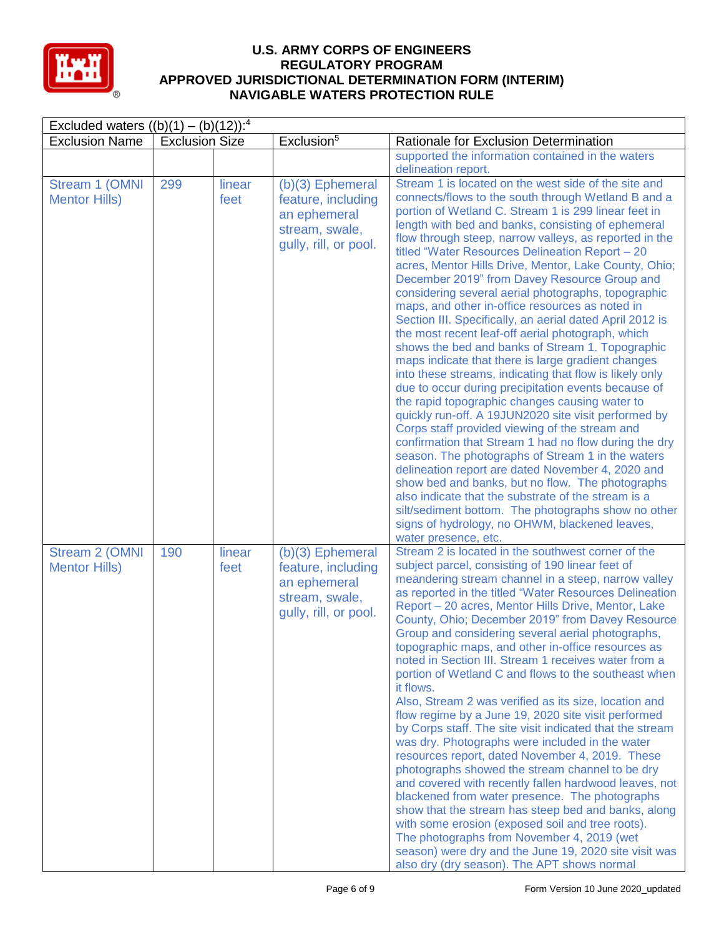

| Excluded waters $((b)(1) - (b)(12))$ : <sup>4</sup> |                       |                |                                                                                                     |                                                                                                                                                                                                                                                                                                                                                                                                                                                                                                                                                                                                                                                                                                                                                                                                                                                                                                                                                                                                                                                                                                                                                                                                                                                                                                                                                                                                                                                                                   |  |  |
|-----------------------------------------------------|-----------------------|----------------|-----------------------------------------------------------------------------------------------------|-----------------------------------------------------------------------------------------------------------------------------------------------------------------------------------------------------------------------------------------------------------------------------------------------------------------------------------------------------------------------------------------------------------------------------------------------------------------------------------------------------------------------------------------------------------------------------------------------------------------------------------------------------------------------------------------------------------------------------------------------------------------------------------------------------------------------------------------------------------------------------------------------------------------------------------------------------------------------------------------------------------------------------------------------------------------------------------------------------------------------------------------------------------------------------------------------------------------------------------------------------------------------------------------------------------------------------------------------------------------------------------------------------------------------------------------------------------------------------------|--|--|
| <b>Exclusion Name</b>                               | <b>Exclusion Size</b> |                | Exclusion <sup>5</sup>                                                                              | Rationale for Exclusion Determination                                                                                                                                                                                                                                                                                                                                                                                                                                                                                                                                                                                                                                                                                                                                                                                                                                                                                                                                                                                                                                                                                                                                                                                                                                                                                                                                                                                                                                             |  |  |
|                                                     |                       |                |                                                                                                     | supported the information contained in the waters<br>delineation report.                                                                                                                                                                                                                                                                                                                                                                                                                                                                                                                                                                                                                                                                                                                                                                                                                                                                                                                                                                                                                                                                                                                                                                                                                                                                                                                                                                                                          |  |  |
| Stream 1 (OMNI<br><b>Mentor Hills)</b>              | 299                   | linear<br>feet | (b)(3) Ephemeral<br>feature, including<br>an ephemeral<br>stream, swale,<br>qully, rill, or pool.   | Stream 1 is located on the west side of the site and<br>connects/flows to the south through Wetland B and a<br>portion of Wetland C. Stream 1 is 299 linear feet in<br>length with bed and banks, consisting of ephemeral<br>flow through steep, narrow valleys, as reported in the<br>titled "Water Resources Delineation Report - 20<br>acres, Mentor Hills Drive, Mentor, Lake County, Ohio;<br>December 2019" from Davey Resource Group and<br>considering several aerial photographs, topographic<br>maps, and other in-office resources as noted in<br>Section III. Specifically, an aerial dated April 2012 is<br>the most recent leaf-off aerial photograph, which<br>shows the bed and banks of Stream 1. Topographic<br>maps indicate that there is large gradient changes<br>into these streams, indicating that flow is likely only<br>due to occur during precipitation events because of<br>the rapid topographic changes causing water to<br>quickly run-off. A 19JUN2020 site visit performed by<br>Corps staff provided viewing of the stream and<br>confirmation that Stream 1 had no flow during the dry<br>season. The photographs of Stream 1 in the waters<br>delineation report are dated November 4, 2020 and<br>show bed and banks, but no flow. The photographs<br>also indicate that the substrate of the stream is a<br>silt/sediment bottom. The photographs show no other<br>signs of hydrology, no OHWM, blackened leaves,<br>water presence, etc. |  |  |
| Stream 2 (OMNI<br><b>Mentor Hills)</b>              | 190                   | linear<br>feet | $(b)(3)$ Ephemeral<br>feature, including<br>an ephemeral<br>stream, swale,<br>gully, rill, or pool. | Stream 2 is located in the southwest corner of the<br>subject parcel, consisting of 190 linear feet of<br>meandering stream channel in a steep, narrow valley<br>as reported in the titled "Water Resources Delineation<br>Report - 20 acres, Mentor Hills Drive, Mentor, Lake<br>County, Ohio; December 2019" from Davey Resource<br>Group and considering several aerial photographs,<br>topographic maps, and other in-office resources as<br>noted in Section III. Stream 1 receives water from a<br>portion of Wetland C and flows to the southeast when<br>it flows.<br>Also, Stream 2 was verified as its size, location and<br>flow regime by a June 19, 2020 site visit performed<br>by Corps staff. The site visit indicated that the stream<br>was dry. Photographs were included in the water<br>resources report, dated November 4, 2019. These<br>photographs showed the stream channel to be dry<br>and covered with recently fallen hardwood leaves, not<br>blackened from water presence. The photographs<br>show that the stream has steep bed and banks, along<br>with some erosion (exposed soil and tree roots).<br>The photographs from November 4, 2019 (wet<br>season) were dry and the June 19, 2020 site visit was<br>also dry (dry season). The APT shows normal                                                                                                                                                                                       |  |  |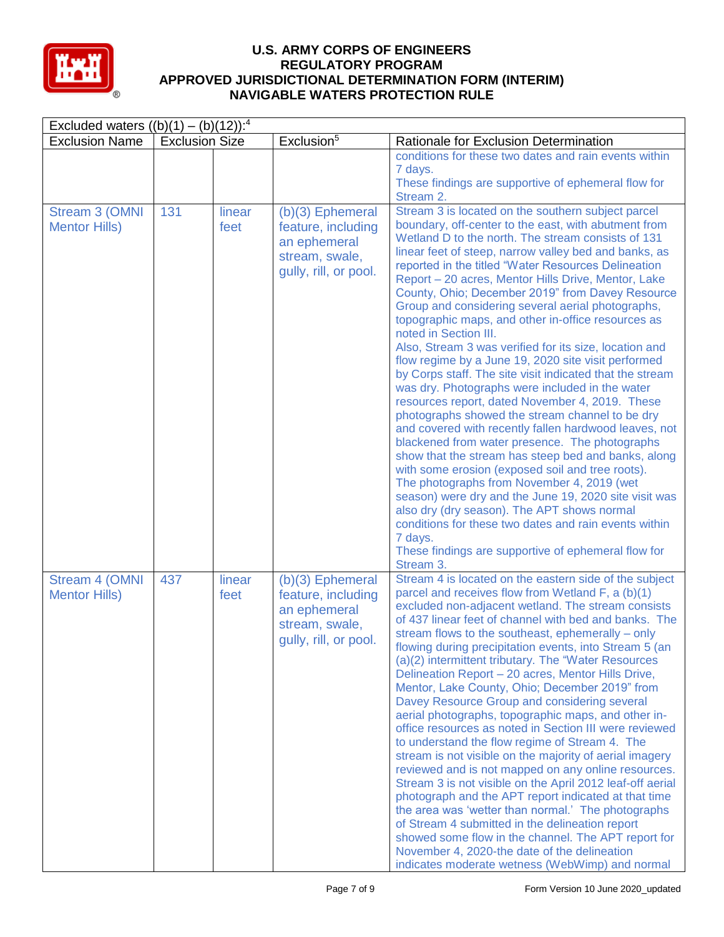

| Excluded waters $((b)(1) - (b)(12))$ : <sup>4</sup> |                       |                |                                                                                                     |                                                                                                                                                                                                                                                                                                                                                                                                                                                                                                                                                                                                                                                                                                                                                                                                                                                                                                                                                                                                                                                                                                                                                                                                                                                                                                                                                                                           |  |  |
|-----------------------------------------------------|-----------------------|----------------|-----------------------------------------------------------------------------------------------------|-------------------------------------------------------------------------------------------------------------------------------------------------------------------------------------------------------------------------------------------------------------------------------------------------------------------------------------------------------------------------------------------------------------------------------------------------------------------------------------------------------------------------------------------------------------------------------------------------------------------------------------------------------------------------------------------------------------------------------------------------------------------------------------------------------------------------------------------------------------------------------------------------------------------------------------------------------------------------------------------------------------------------------------------------------------------------------------------------------------------------------------------------------------------------------------------------------------------------------------------------------------------------------------------------------------------------------------------------------------------------------------------|--|--|
| <b>Exclusion Name</b>                               | <b>Exclusion Size</b> |                | Exclusion <sup>5</sup>                                                                              | Rationale for Exclusion Determination                                                                                                                                                                                                                                                                                                                                                                                                                                                                                                                                                                                                                                                                                                                                                                                                                                                                                                                                                                                                                                                                                                                                                                                                                                                                                                                                                     |  |  |
|                                                     |                       |                |                                                                                                     | conditions for these two dates and rain events within<br>7 days.<br>These findings are supportive of ephemeral flow for<br>Stream 2.                                                                                                                                                                                                                                                                                                                                                                                                                                                                                                                                                                                                                                                                                                                                                                                                                                                                                                                                                                                                                                                                                                                                                                                                                                                      |  |  |
| Stream 3 (OMNI<br><b>Mentor Hills)</b>              | 131                   | linear<br>feet | $(b)(3)$ Ephemeral<br>feature, including<br>an ephemeral<br>stream, swale,<br>gully, rill, or pool. | Stream 3 is located on the southern subject parcel<br>boundary, off-center to the east, with abutment from<br>Wetland D to the north. The stream consists of 131<br>linear feet of steep, narrow valley bed and banks, as<br>reported in the titled "Water Resources Delineation<br>Report - 20 acres, Mentor Hills Drive, Mentor, Lake<br>County, Ohio; December 2019" from Davey Resource<br>Group and considering several aerial photographs,<br>topographic maps, and other in-office resources as<br>noted in Section III.<br>Also, Stream 3 was verified for its size, location and<br>flow regime by a June 19, 2020 site visit performed<br>by Corps staff. The site visit indicated that the stream<br>was dry. Photographs were included in the water<br>resources report, dated November 4, 2019. These<br>photographs showed the stream channel to be dry<br>and covered with recently fallen hardwood leaves, not<br>blackened from water presence. The photographs<br>show that the stream has steep bed and banks, along<br>with some erosion (exposed soil and tree roots).<br>The photographs from November 4, 2019 (wet<br>season) were dry and the June 19, 2020 site visit was<br>also dry (dry season). The APT shows normal<br>conditions for these two dates and rain events within<br>7 days.<br>These findings are supportive of ephemeral flow for<br>Stream 3. |  |  |
| Stream 4 (OMNI<br><b>Mentor Hills)</b>              | 437                   | linear<br>feet | (b)(3) Ephemeral<br>feature, including<br>an ephemeral<br>stream, swale,<br>gully, rill, or pool.   | Stream 4 is located on the eastern side of the subject<br>parcel and receives flow from Wetland F, a (b)(1)<br>excluded non-adjacent wetland. The stream consists<br>of 437 linear feet of channel with bed and banks. The<br>stream flows to the southeast, ephemerally - only<br>flowing during precipitation events, into Stream 5 (an<br>(a)(2) intermittent tributary. The "Water Resources<br>Delineation Report - 20 acres, Mentor Hills Drive,<br>Mentor, Lake County, Ohio; December 2019" from<br>Davey Resource Group and considering several<br>aerial photographs, topographic maps, and other in-<br>office resources as noted in Section III were reviewed<br>to understand the flow regime of Stream 4. The<br>stream is not visible on the majority of aerial imagery<br>reviewed and is not mapped on any online resources.<br>Stream 3 is not visible on the April 2012 leaf-off aerial<br>photograph and the APT report indicated at that time<br>the area was 'wetter than normal.' The photographs<br>of Stream 4 submitted in the delineation report<br>showed some flow in the channel. The APT report for<br>November 4, 2020-the date of the delineation<br>indicates moderate wetness (WebWimp) and normal                                                                                                                                                     |  |  |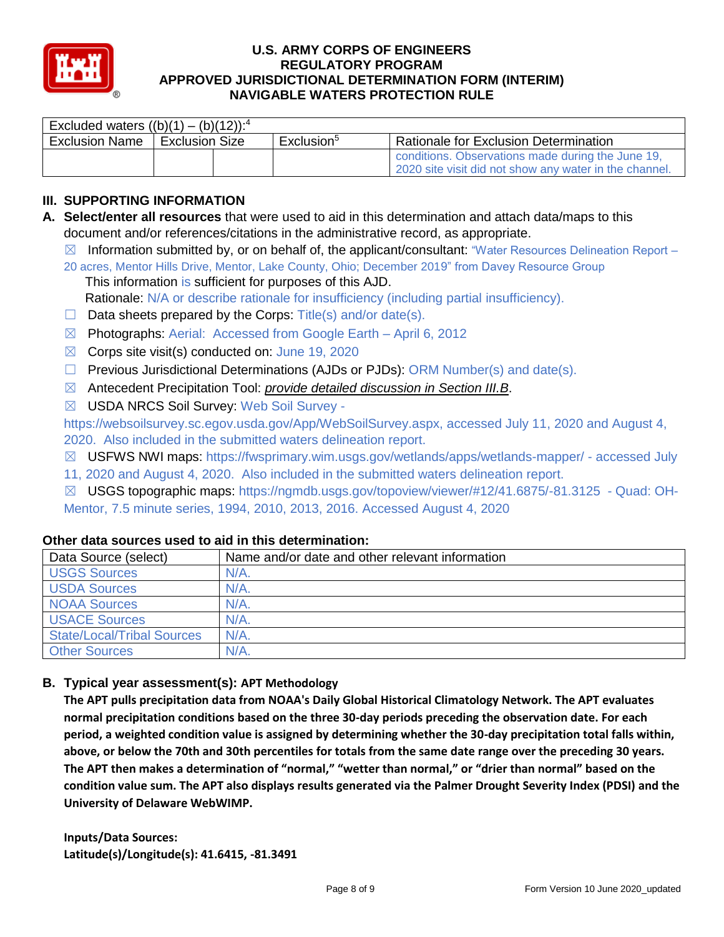

| Excluded waters $((b)(1) - (b)(12))$ : <sup>4</sup> |                       |  |                        |                                                                                                             |  |  |  |
|-----------------------------------------------------|-----------------------|--|------------------------|-------------------------------------------------------------------------------------------------------------|--|--|--|
| <b>Exclusion Name</b>                               | <b>Exclusion Size</b> |  | Exclusion <sup>5</sup> | <b>Rationale for Exclusion Determination</b>                                                                |  |  |  |
|                                                     |                       |  |                        | conditions. Observations made during the June 19,<br>2020 site visit did not show any water in the channel. |  |  |  |

# **III. SUPPORTING INFORMATION**

- **A. Select/enter all resources** that were used to aid in this determination and attach data/maps to this document and/or references/citations in the administrative record, as appropriate.
	- $\boxtimes$  Information submitted by, or on behalf of, the applicant/consultant: "Water Resources Delineation Report 20 acres, Mentor Hills Drive, Mentor, Lake County, Ohio; December 2019" from Davey Resource Group
		- This information is sufficient for purposes of this AJD. Rationale: N/A or describe rationale for insufficiency (including partial insufficiency).
	- $\Box$  Data sheets prepared by the Corps: Title(s) and/or date(s).
	- ☒ Photographs: Aerial: Accessed from Google Earth April 6, 2012
	- $\boxtimes$  Corps site visit(s) conducted on: June 19, 2020
	- ☐ Previous Jurisdictional Determinations (AJDs or PJDs): ORM Number(s) and date(s).
	- ☒ Antecedent Precipitation Tool: *provide detailed discussion in Section III.B*.
	- ☒ USDA NRCS Soil Survey: Web Soil Survey -

https://websoilsurvey.sc.egov.usda.gov/App/WebSoilSurvey.aspx, accessed July 11, 2020 and August 4, 2020. Also included in the submitted waters delineation report.

- ☒ USFWS NWI maps: https://fwsprimary.wim.usgs.gov/wetlands/apps/wetlands-mapper/ accessed July
- 11, 2020 and August 4, 2020. Also included in the submitted waters delineation report.
- ☒ USGS topographic maps: https://ngmdb.usgs.gov/topoview/viewer/#12/41.6875/-81.3125 Quad: OH-Mentor, 7.5 minute series, 1994, 2010, 2013, 2016. Accessed August 4, 2020

| Data Source (select)              | Name and/or date and other relevant information |
|-----------------------------------|-------------------------------------------------|
| <b>USGS Sources</b>               | $N/A$ .                                         |
| <b>USDA Sources</b>               | $N/A$ .                                         |
| <b>NOAA Sources</b>               | $N/A$ .                                         |
| <b>USACE Sources</b>              | $N/A$ .                                         |
| <b>State/Local/Tribal Sources</b> | $N/A$ .                                         |
| <b>Other Sources</b>              | $N/A$ .                                         |

## **Other data sources used to aid in this determination:**

#### **B. Typical year assessment(s): APT Methodology**

**The APT pulls precipitation data from NOAA's Daily Global Historical Climatology Network. The APT evaluates normal precipitation conditions based on the three 30-day periods preceding the observation date. For each period, a weighted condition value is assigned by determining whether the 30-day precipitation total falls within, above, or below the 70th and 30th percentiles for totals from the same date range over the preceding 30 years. The APT then makes a determination of "normal," "wetter than normal," or "drier than normal" based on the condition value sum. The APT also displays results generated via the Palmer Drought Severity Index (PDSI) and the University of Delaware WebWIMP.**

**Inputs/Data Sources: Latitude(s)/Longitude(s): 41.6415, -81.3491**